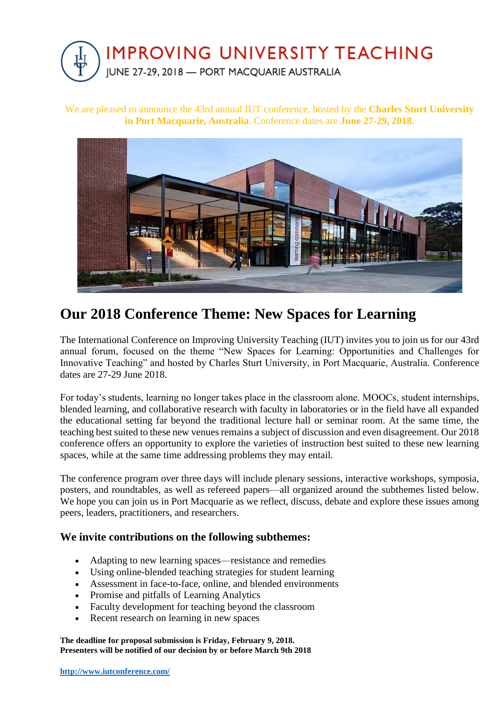

We are pleased to announce the 43rd annual IUT conference, hosted by the **Charles Sturt University in Port Macquarie, Australia**. Conference dates are **June 27-29, 2018**.



## **Our 2018 Conference Theme: New Spaces for Learning**

The International Conference on Improving University Teaching (IUT) invites you to join us for our 43rd annual forum, focused on the theme "New Spaces for Learning: Opportunities and Challenges for Innovative Teaching" and hosted by Charles Sturt University, in Port Macquarie, Australia. Conference dates are 27-29 June 2018.

For today's students, learning no longer takes place in the classroom alone. MOOCs, student internships, blended learning, and collaborative research with faculty in laboratories or in the field have all expanded the educational setting far beyond the traditional lecture hall or seminar room. At the same time, the teaching best suited to these new venues remains a subject of discussion and even disagreement. Our 2018 conference offers an opportunity to explore the varieties of instruction best suited to these new learning spaces, while at the same time addressing problems they may entail.

The conference program over three days will include plenary sessions, interactive workshops, symposia, posters, and roundtables, as well as refereed papers—all organized around the subthemes listed below. We hope you can join us in Port Macquarie as we reflect, discuss, debate and explore these issues among peers, leaders, practitioners, and researchers.

## **We invite contributions on the following subthemes:**

- Adapting to new learning spaces—resistance and remedies
- Using online-blended teaching strategies for student learning
- Assessment in face-to-face, online, and blended environments
- Promise and pitfalls of Learning Analytics
- Faculty development for teaching beyond the classroom
- Recent research on learning in new spaces

**The deadline for proposal submission is Friday, February 9, 2018. Presenters will be notified of our decision by or before March 9th 2018**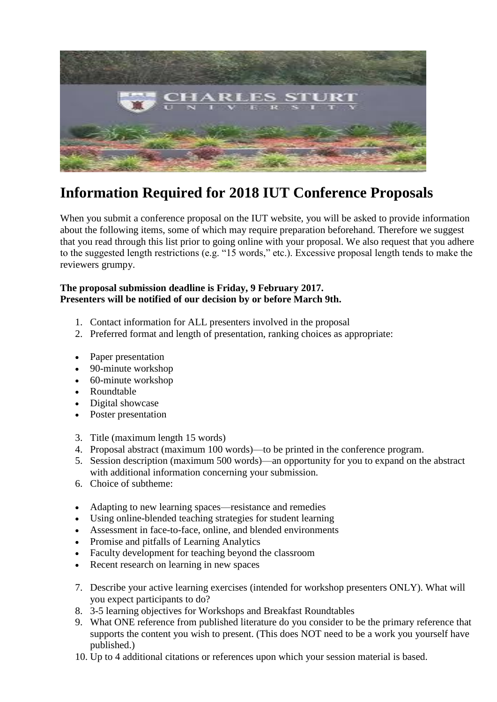

## **Information Required for 2018 IUT Conference Proposals**

When you submit a conference proposal on the IUT website, you will be asked to provide information about the following items, some of which may require preparation beforehand. Therefore we suggest that you read through this list prior to going online with your proposal. We also request that you adhere to the suggested length restrictions (e.g. "15 words," etc.). Excessive proposal length tends to make the reviewers grumpy.

## **The proposal submission deadline is Friday, 9 February 2017. Presenters will be notified of our decision by or before March 9th.**

- 1. Contact information for ALL presenters involved in the proposal
- 2. Preferred format and length of presentation, ranking choices as appropriate:
- Paper presentation
- 90-minute workshop
- 60-minute workshop
- Roundtable
- Digital showcase
- Poster presentation
- 3. Title (maximum length 15 words)
- 4. Proposal abstract (maximum 100 words)—to be printed in the conference program.
- 5. Session description (maximum 500 words)—an opportunity for you to expand on the abstract with additional information concerning your submission.
- 6. Choice of subtheme:
- Adapting to new learning spaces—resistance and remedies
- Using online-blended teaching strategies for student learning
- Assessment in face-to-face, online, and blended environments
- Promise and pitfalls of Learning Analytics
- Faculty development for teaching beyond the classroom
- Recent research on learning in new spaces
- 7. Describe your active learning exercises (intended for workshop presenters ONLY). What will you expect participants to do?
- 8. 3-5 learning objectives for Workshops and Breakfast Roundtables
- 9. What ONE reference from published literature do you consider to be the primary reference that supports the content you wish to present. (This does NOT need to be a work you yourself have published.)
- 10. Up to 4 additional citations or references upon which your session material is based.